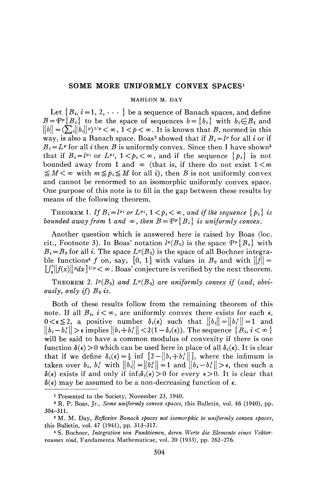## **SOME MORE UNIFORMLY CONVEX SPACES<sup>1</sup>**

## MAHLON M. DAY

Let  ${B_i, i = 1, 2, \cdots}$  be a sequence of Banach spaces, and define  $B = \mathcal{P}^p \{B_i\}$  to be the space of sequences  $b = \{b_i\}$  with  $b_i \in B_i$  and  $||b|| = \sum_{i} ||b_i||^p$ <sup>1/p</sup>  $< \infty$ ,  $1 < p < \infty$ . It is known that *B*, normed in this way, is also a Banach space. Boas<sup>2</sup> showed that if  $B_i = l^p$  for all *i* or if  $B_i = L^p$  for all *i* then *B* is uniformly convex. Since then I have shown<sup>3</sup> that if  $B_i = l^{p_i}$  or  $L^{p_i}$ ,  $1 \leq p_i \leq \infty$ , and if the sequence  $\{p_i\}$  is not bounded away from 1 and  $\infty$  (that is, if there do not exist  $1 \le m$  $\leq M < \infty$  with  $m \leq p_i \leq M$  for all *i*), then *B* is not uniformly convex and cannot be renormed to an isomorphic uniformly convex space. One purpose of this note is to fill in the gap between these results by means of the following theorem.

THEOREM 1. If  $B_i = l^{p_i}$  or  $L^{p_i}$ ,  $1 \leq p_i \leq \infty$ , and if the sequence  $\{p_i\}$  is *bounded away from* 1 and  $\infty$ , then  $B = \mathcal{P}^p \{B_i\}$  is uniformly convex.

Another question which is answered here is raised by Boas (loc. cit., Footnote 3). In Boas' notation  $l^p(B_0)$  is the space  $\mathcal{P}^p\{B_i\}$  with  $B_i = B_0$  for all *i*. The space  $L^p(B_0)$  is the space of all Bochner integrable functions<sup>4</sup> f on, say, [0, 1] with values in  $B_0$  and with  $||f|| =$  $\left[\int_0^1 \|f(x)\|^p dx\right]^{1/p} < \infty$ . Boas' conjecture is verified by the next theorem.

THEOREM 2.  $l^p(B_0)$  and  $L^p(B_0)$  are uniformly convex if (and, obvi*ously, only if) Bois.* 

Both of these results follow from the remaining theorem of this note. If all  $B_i$ ,  $i < \infty$ , are uniformly convex there exists for each  $\epsilon$ ,  $0 < \epsilon \leq 2$ , a positive number  $\delta_i(\epsilon)$  such that  $||b_i|| = ||b_i'|| = 1$  and  $\|b_i - b_i'\| > \epsilon$  implies  $\|b_i + b_i'\| < 2(1-\delta_i(\epsilon))$ . The sequence  $\{B_i, i < \infty\}$ will be said to have a common modulus of convexity if there is one function  $\delta(\epsilon) > 0$  which can be used here in place of all  $\delta_i(\epsilon)$ . It is clear that if we define  $\delta_i(\epsilon) = \frac{1}{2}$  inf  $[2 - ||b_i + b'_i||]$ , where the infimum is taken over  $b_i$ ,  $b'_i$  with  $||b_i|| = ||b'_i|| = 1$  and  $||b_i - b'_i|| > \epsilon$ , then such a  $\delta(\epsilon)$  exists if and only if  $\inf_i \delta_i(\epsilon) > 0$  for every  $\epsilon > 0$ . It is clear that  $\delta(\epsilon)$  may be assumed to be a non-decreasing function of  $\epsilon$ .

<sup>1</sup> Presented to the Society, November 23, 1940.

<sup>2</sup> R. P. Boas, Jr., *Some uniformly convex spaces,* this Bulletin, vol. 46 (1940), pp. 304-311.

<sup>3</sup> M. M. Day, *Reflexive Banach spaces not isomorphic to uniformly convex spaces,*  this Bulletin, vol. 47 (1941), pp. 313-317.

<sup>4</sup> S. Bochner, *Integration von Funktionen, deren Werte die Elemente eines Vektorraumes sind,* Fundamenta Mathematicae, vol. 20 (1933), pp. 262-276.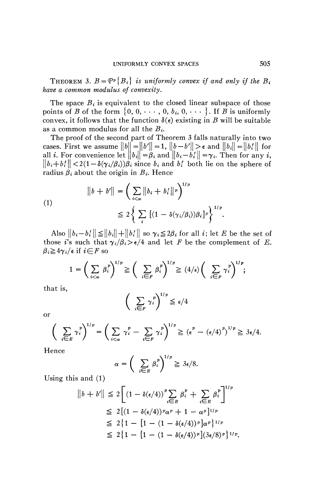THEOREM 3.  $B = P^p \{B_i\}$  is uniformly convex if and only if the  $B_i$ *have a common modulus of convexity.* 

The space  $B_i$  is equivalent to the closed linear subspace of those points of *B* of the form  $\{0, 0, \dots, 0, b_i, 0, \dots\}$ . If *B* is uniformly convex, it follows that the function  $\delta(\epsilon)$  existing in *B* will be suitable as a common modulus for all the *Bi.* 

The proof of the second part of Theorem 3 falls naturally into two cases. First we assume  $\|b\| = \|b'\| = 1$ ,  $\|b - b'\| > \epsilon$  and  $\|b_i\| = \|b'_i\|$  for all *i*. For convenience let  $||b_i|| = \beta_i$  and  $||b_i - b_i'|| = \gamma_i$ . Then for any *i*,  $\|b_i + b'_i\| < 2(1 - \delta(\gamma_i/\beta_i))\beta_i$  since  $b_i$  and  $b'_i$  both lie on the sphere of radius  $\beta_i$  about the origin in  $B_i$ . Hence

$$
||b + b'|| = \left(\sum_{i < \infty} ||b_i + b'_i||^p\right)^{1/p}
$$
  
\n
$$
\leq 2 \left\{\sum_i \left[(1 - \delta(\gamma_i/\beta_i))\beta_i\right]^p\right\}^{1/p}.
$$

Also  $||b_i - b'_i|| \le ||b_i|| + ||b'_i||$  so  $\gamma_i \le 2\beta_i$  for all *i*; let *E* be the set of those *i*'s such that  $\gamma_i/\beta_i > \epsilon/4$  and let *F* be the complement of *E*.  $\beta_i \geq 4\gamma_i/\epsilon$  if  $i \in F$  so

$$
1 = \left(\sum_{i < \infty} \beta_i^p\right)^{1/p} \geq \left(\sum_{i \in F} \beta_i^p\right)^{1/p} \geq (4/\epsilon) \left(\sum_{i \in F} \gamma_i^p\right)^{1/p};
$$

that is,

or

$$
\left(\sum_{i\in F}\gamma_i^p\right)^{1/p}\leq \epsilon/4
$$

$$
\left(\sum_{i\in E} \gamma_i^p\right)^{1/p} = \left(\sum_{i<\infty} \gamma_i^p - \sum_{i\in F} \gamma_i^p\right)^{1/p} \geq \left(\epsilon^p - \left(\epsilon/4\right)^p\right)^{1/p} \geq 3\epsilon/4.
$$

Hence

$$
\alpha = \left(\sum_{i \in E} \beta_i^p\right)^{1/p} \geq 3\epsilon/8.
$$

Using this and (1)

$$
||b + b'|| \leq 2 \Big[ (1 - \delta(\epsilon/4))^p \sum_{i \in E} \beta_i^p + \sum_{i \in E} \beta_i^p \Big]^{1/p}
$$
  
\n
$$
\leq 2 \Big[ (1 - \delta(\epsilon/4))^p \alpha^p + 1 - \alpha^p \Big]^{1/p}
$$
  
\n
$$
\leq 2 \Big\{ 1 - \Big[ 1 - (1 - \delta(\epsilon/4))^p \Big] \alpha^p \Big\}^{1/p}
$$
  
\n
$$
\leq 2 \Big\{ 1 - \Big[ 1 - (1 - \delta(\epsilon/4))^p \Big] (3\epsilon/8)^p \Big\}^{1/p}.
$$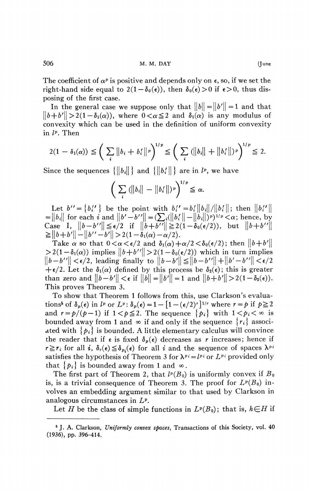The coefficient of  $\alpha^p$  is positive and depends only on  $\epsilon$ , so, if we set the right-hand side equal to  $2(1-\delta_0(\epsilon))$ , then  $\delta_0(\epsilon) > 0$  if  $\epsilon > 0$ , thus disposing of the first case.

In the general case we suppose only that  $||b|| = ||b'|| = 1$  and that  $||b + b'|| > 2(1 - \delta_1(\alpha))$ , where  $0 < \alpha \leq 2$  and  $\delta_1(\alpha)$  is any modulus of convexity which can be used in the definition of uniform convexity in *l<sup>p</sup> .* Then

$$
2(1 - \delta_1(\alpha)) \leqq \left( \sum_i \|b_i + b'_i\|^p \right)^{1/p} \leqq \left( \sum_i (||b_i|| + ||b'_i||)^p \right)^{1/p} \leqq 2.
$$

Since the sequences  $\{\|b_i\|\}$  and  $\{\|b_i'\|\}$  are in  $l^p$ , we have

$$
\bigg(\sum_i\left(\big\|b_i\big\|-\big\|b_i'\big\|\right)^p\bigg)^{1/p}\leq\alpha.
$$

Let  $b'' = \{b''_i\}$  be the point with  $b''_i = b'_i ||b_i||/||b'_i||$ ; then  $||b''_i||$  $= ||b_i||$  for each i and  $||b'-b''|| = \left(\sum_i (||b_i'|| - ||b_i||)^p\right)^{1/p} < \alpha$ ; hence, by Case I,  $||b-b''|| \le \epsilon/2$  if  $||b+b''|| \ge 2(1 - \delta_0(\epsilon/2))$ , but  $||b+b''||$  $\geq ||b+b'|| - ||b''-b'|| > 2(1-\delta_1(\alpha)-\alpha/2).$ 

Take  $\alpha$  so that  $0 < \alpha < \epsilon/2$  and  $\delta_1(\alpha) + \alpha/2 < \delta_0(\epsilon/2)$ ; then  $||b+b'||$  $>2(1-\delta_1(\alpha))$  implies  $||b+b''|| > 2(1-\delta_0(\epsilon/2))$  which in turn implies  $\bigl\|b-b''\bigr\|<\epsilon/2,$  leading finally to  $\bigl\|b-b'\bigr\|\leq \bigl\|b-b''\bigr\|+\bigl\|b'-b''\bigr\|<\epsilon/2$  $+\epsilon/2$ . Let the  $\delta_1(\alpha)$  defined by this process be  $\delta_2(\epsilon)$ ; this is greater than zero and  $||b-b'|| < \epsilon$  if  $||b|| = ||b'|| = 1$  and  $||b+b'|| > 2(1-\delta_2(\epsilon)).$ This proves Theorem 3.

To show that Theorem 1 follows from this, use Clarkson's evaluations<sup>5</sup> of  $\delta_p(\epsilon)$  in  $l^p$  or  $L^p$ :  $\delta_p(\epsilon) = 1 - [1 - (\epsilon/2)^r]^{1/r}$  where  $r = p$  if  $p \ge 2$ and  $r = p/(p-1)$  if  $1 < p \le 2$ . The sequence  $\{p_i\}$  with  $1 < p_i < \infty$  is bounded away from 1 and  $\infty$  if and only if the sequence  $\{r_i\}$  associated with  $\{p_i\}$  is bounded. A little elementary calculus will convince the reader that if  $\epsilon$  is fixed  $\delta_p(\epsilon)$  decreases as *r* increases; hence if  $r \ge r_i$  for all *i*,  $\delta_r(\epsilon) \le \delta_{p_i}(\epsilon)$  for all *i* and the sequence of spaces  $\lambda^{p_i}$ satisfies the hypothesis of Theorem 3 for  $\lambda^{p_i} = l^{p_i}$  or  $L^{p_i}$  provided only that  $\{p_i\}$  is bounded away from 1 and  $\infty$ .

The first part of Theorem 2, that  $l^p(B_0)$  is uniformly convex if  $B_0$ is, is a trivial consequence of Theorem 3. The proof for  $L^p(B_0)$  involves an embedding argument similar to that used by Clarkson in analogous circumstances in *L<sup>p</sup> .* 

Let *H* be the class of simple functions in  $L^p(B_0)$ ; that is,  $h \in H$  if

<sup>5</sup> J. A. Clarkson, *Uniformly convex spaces,* Transactions of this Society, vol. 40 (1936), pp. 396-414.